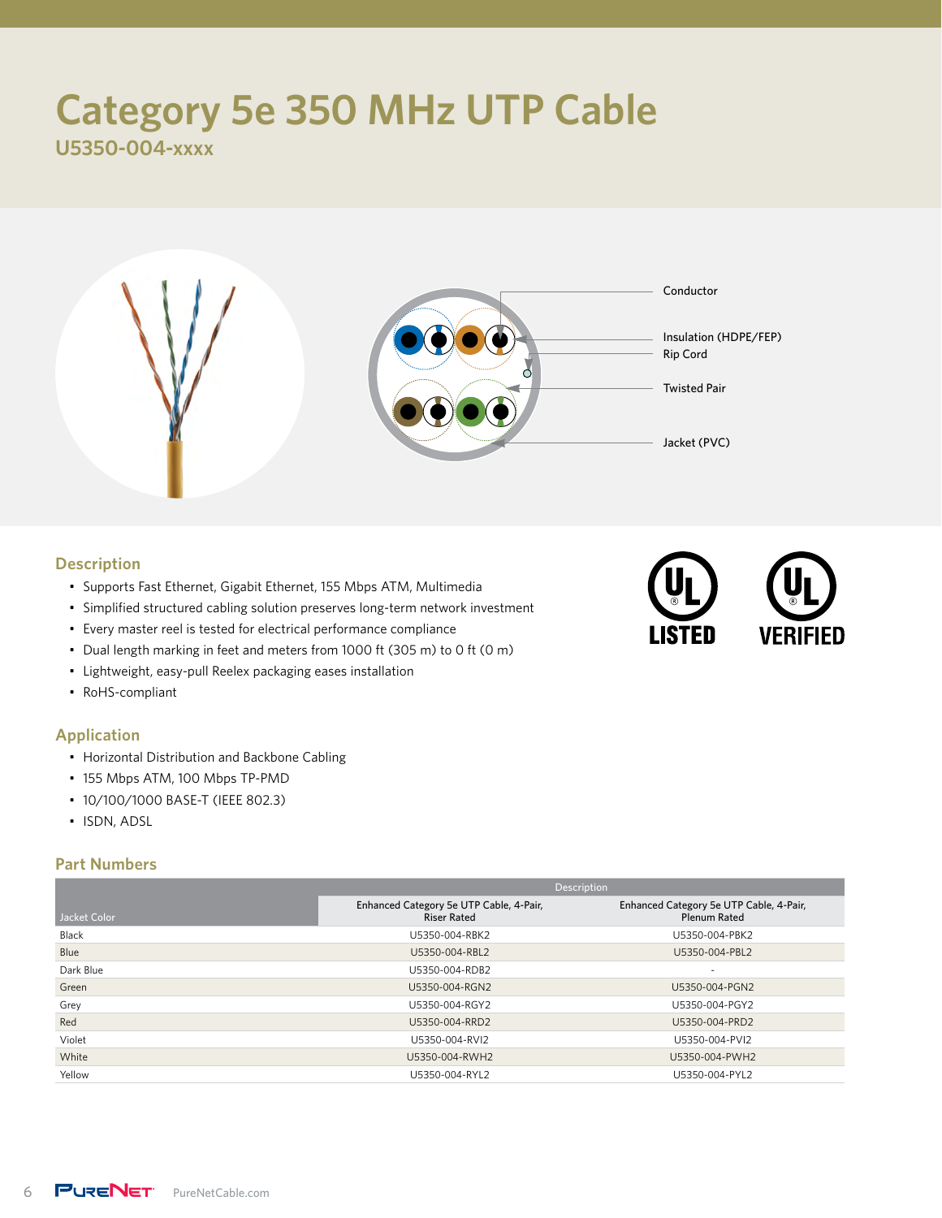# **Category 5e 350 MHz UTP Cable**

**U5350-004-xxxx**



#### **Description**

- Supports Fast Ethernet, Gigabit Ethernet, 155 Mbps ATM, Multimedia
- Simplified structured cabling solution preserves long-term network investment
- Every master reel is tested for electrical performance compliance
- Dual length marking in feet and meters from 1000 ft (305 m) to 0 ft (0 m)
- Lightweight, easy-pull Reelex packaging eases installation
- RoHS-compliant

### **Application**

- Horizontal Distribution and Backbone Cabling
- 155 Mbps ATM, 100 Mbps TP-PMD
- 10/100/1000 BASE-T (IEEE 802.3)
- ISDN, ADSL

### **Part Numbers**

| <b>Description</b>                                            |                                                                |  |  |  |
|---------------------------------------------------------------|----------------------------------------------------------------|--|--|--|
| Enhanced Category 5e UTP Cable, 4-Pair,<br><b>Riser Rated</b> | Enhanced Category 5e UTP Cable, 4-Pair,<br><b>Plenum Rated</b> |  |  |  |
| U5350-004-RBK2                                                | U5350-004-PBK2                                                 |  |  |  |
| U5350-004-RBL2                                                | U5350-004-PBL2                                                 |  |  |  |
| U5350-004-RDB2                                                | $\overline{\phantom{a}}$                                       |  |  |  |
| U5350-004-RGN2                                                | U5350-004-PGN2                                                 |  |  |  |
| U5350-004-RGY2                                                | U5350-004-PGY2                                                 |  |  |  |
| U5350-004-RRD2                                                | U5350-004-PRD2                                                 |  |  |  |
| U5350-004-RVI2                                                | U5350-004-PVI2                                                 |  |  |  |
| U5350-004-RWH2                                                | U5350-004-PWH2                                                 |  |  |  |
| U5350-004-RYL2                                                | U5350-004-PYL2                                                 |  |  |  |
|                                                               |                                                                |  |  |  |